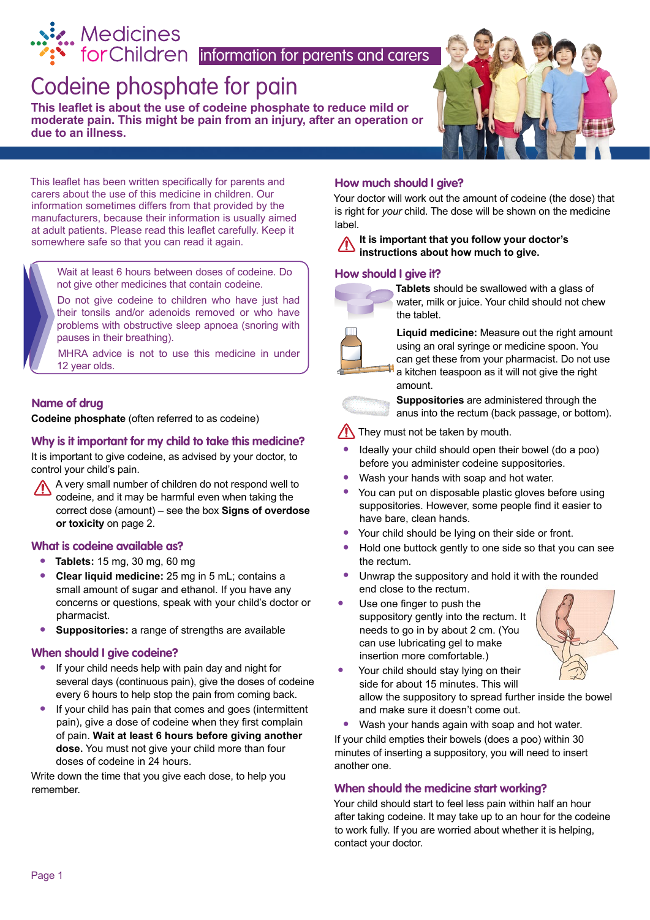# [Codeine phosphate for pain](http://www.medicinesforchildren.org.uk) r.. Medicines<br>• forChildren |information for parents and carers

**This leaflet is about the use of codeine phosphate to reduce mild or moderate pain. This might be pain from an injury, after an operation or due to an illness.**



This leaflet has been written specifically for parents and carers about the use of this medicine in children. Our information sometimes differs from that provided by the manufacturers, because their information is usually aimed at adult patients. Please read this leaflet carefully. Keep it somewhere safe so that you can read it again.

 Wait at least 6 hours between doses of codeine. Do not give other medicines that contain codeine.

 Do not give codeine to children who have just had their tonsils and/or adenoids removed or who have problems with obstructive sleep apnoea (snoring with pauses in their breathing).

 MHRA advice is not to use this medicine in under 12 year olds.

### **Name of drug**

**Codeine phosphate** (often referred to as codeine)

#### **Why is it important for my child to take this medicine?**

It is important to give codeine, as advised by your doctor, to control your child's pain.

A very small number of children do not respond well to codeine, and it may be harmful even when taking the correct dose (amount) – see the box **Signs of overdose or toxicity** on page 2.

#### **What is codeine available as?**

- **• Tablets:** 15 mg, 30 mg, 60 mg
- **• Clear liquid medicine:** 25 mg in 5 mL; contains a small amount of sugar and ethanol. If you have any concerns or questions, speak with your child's doctor or pharmacist.
- **• Suppositories:** a range of strengths are available

#### **When should I give codeine?**

- **•** If your child needs help with pain day and night for several days (continuous pain), give the doses of codeine every 6 hours to help stop the pain from coming back.
- **•** If your child has pain that comes and goes (intermittent pain), give a dose of codeine when they first complain of pain. **Wait at least 6 hours before giving another dose.** You must not give your child more than four doses of codeine in 24 hours.

Write down the time that you give each dose, to help you remember.

#### **How much should I give?**

Your doctor will work out the amount of codeine (the dose) that is right for *your* child. The dose will be shown on the medicine label.

#### **It is important that you follow your doctor's instructions about how much to give.**

#### **How should I give it?**



**Tablets** should be swallowed with a glass of water, milk or juice. Your child should not chew the tablet.



**Liquid medicine:** Measure out the right amount using an oral syringe or medicine spoon. You can get these from your pharmacist. Do not use a kitchen teaspoon as it will not give the right amount.

**Suppositories** are administered through the anus into the rectum (back passage, or bottom).

#### They must not be taken by mouth.

- **•** Ideally your child should open their bowel (do a poo) before you administer codeine suppositories.
- **•** Wash your hands with soap and hot water.
- **•** You can put on disposable plastic gloves before using suppositories. However, some people find it easier to have bare, clean hands.
- Your child should be lying on their side or front.<br>• Hold one buttock gently to one side so that you
- **•** Hold one buttock gently to one side so that you can see the rectum.
- **•** Unwrap the suppository and hold it with the rounded end close to the rectum.
- **•** Use one finger to push the suppository gently into the rectum. It needs to go in by about 2 cm. (You can use lubricating gel to make insertion more comfortable.) a kitchanou<br>
Supp<br>
anus i<br>
Contact your check worst to<br>
Contact your check worst to<br>
Contact your child show<br>
Contact your child show<br>
Hold one buttiful show<br>
Hold one buttiful should the rectum.<br>
Contact your child should



**•** Your child should stay lying on their side for about 15 minutes. This will allow the suppository to spread further inside the bowel and make sure it doesn't come out.

**•** Wash your hands again with soap and hot water. If your child empties their bowels (does a poo) within 30 minutes of inserting a suppository, you will need to insert another one.

#### **When should the medicine start working?**

Your child should start to feel less pain within half an hour after taking codeine. It may take up to an hour for the codeine to work fully. If you are worried about whether it is helping, contact your doctor.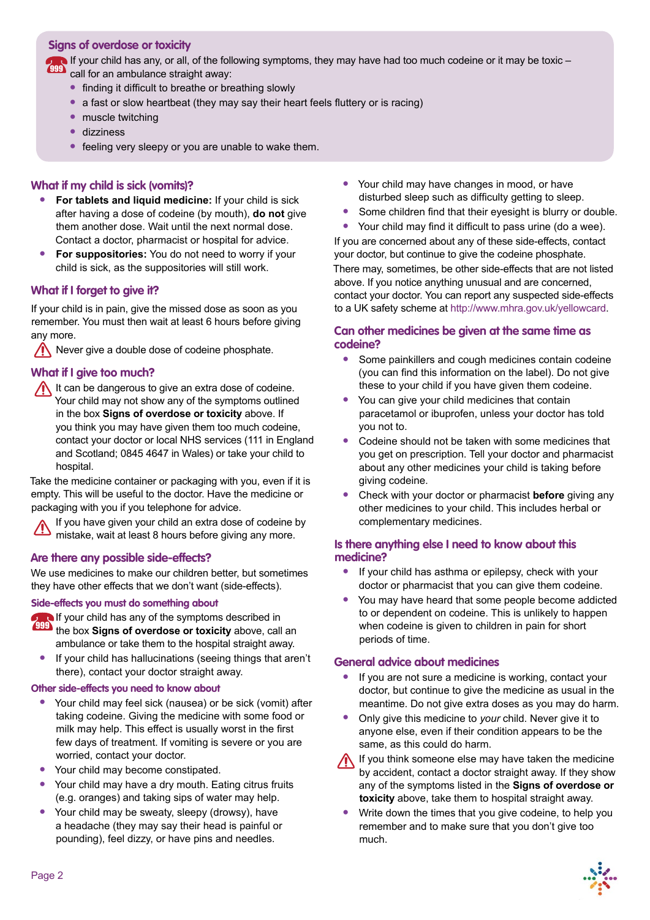#### **Signs of overdose or toxicity**

If your child has any, or all, of the following symptoms, they may have had too much codeine or it may be toxic – 999 call for an ambulance straight away:

- **•** finding it difficult to breathe or breathing slowly
- a fast or slow heartbeat (they may say their heart feels fluttery or is racing)
- **•** muscle twitching
- **•** dizziness
- feeling very sleepy or you are unable to wake them.

#### **What if my child is sick (vomits)?**

- **• For tablets and liquid medicine:** If your child is sick after having a dose of codeine (by mouth), **do not** give them another dose. Wait until the next normal dose. Contact a doctor, pharmacist or hospital for advice.
- **• For suppositories:** You do not need to worry if your child is sick, as the suppositories will still work.

#### **What if I forget to give it?**

If your child is in pain, give the missed dose as soon as you remember. You must then wait at least 6 hours before giving any more.

 $\sqrt{\phantom{a}}$  Never give a double dose of codeine phosphate.

#### **What if I give too much?**

It can be dangerous to give an extra dose of codeine. Your child may not show any of the symptoms outlined in the box **Signs of overdose or toxicity** above. If you think you may have given them too much codeine, contact your doctor or local NHS services (111 in England and Scotland; 0845 4647 in Wales) or take your child to hospital.

Take the medicine container or packaging with you, even if it is empty. This will be useful to the doctor. Have the medicine or packaging with you if you telephone for advice.

If you have given your child an extra dose of codeine by mistake, wait at least 8 hours before giving any more.

#### **Are there any possible side-effects?**

We use medicines to make our children better, but sometimes they have other effects that we don't want (side-effects).

#### **Side-effects you must do something about**

If your child has any of the symptoms described in

- **EFF** the box Signs of overdose or toxicity above, call an ambulance or take them to the hospital straight away.
- **•** If your child has hallucinations (seeing things that aren't there), contact your doctor straight away.

#### **Other side-effects you need to know about**

- **•** Your child may feel sick (nausea) or be sick (vomit) after taking codeine. Giving the medicine with some food or milk may help. This effect is usually worst in the first few days of treatment. If vomiting is severe or you are worried, contact your doctor.
- **•** Your child may become constipated.
- **•** Your child may have a dry mouth. Eating citrus fruits (e.g. oranges) and taking sips of water may help.
- **•** Your child may be sweaty, sleepy (drowsy), have a headache (they may say their head is painful or pounding), feel dizzy, or have pins and needles.
- Your child may have changes in mood, or have disturbed sleep such as difficulty getting to sleep.
- **•** Some children find that their eyesight is blurry or double.
- **•** Your child may find it difficult to pass urine (do a wee).

If you are concerned about any of these side-effects, contact your doctor, but continue to give the codeine phosphate. There may, sometimes, be other side-effects that are not listed above. If you notice anything unusual and are concerned, contact your doctor. You can report any suspected side-effects to a UK safety scheme at http://www.mhra.gov.uk/yellowcard.

#### **Can other medicines be given at the same time as codeine?**

- **•** Some painkillers and cough medicines contain codeine (you can find this information on the label). Do not give these to your child if you have given them codeine.
- **•** You can give your child medicines that contain paracetamol or ibuprofen, unless your doctor has told you not to.
- **•** Codeine should not be taken with some medicines that you get on prescription. Tell your doctor and pharmacist about any other medicines your child is taking before giving codeine.
- **•** Check with your doctor or pharmacist **before** giving any other medicines to your child. This includes herbal or complementary medicines.

#### **Is there anything else I need to know about this medicine?**

- **•** If your child has asthma or epilepsy, check with your doctor or pharmacist that you can give them codeine.
- **•** You may have heard that some people become addicted to or dependent on codeine. This is unlikely to happen when codeine is given to children in pain for short periods of time.

#### **General advice about medicines**

- **•** If you are not sure a medicine is working, contact your doctor, but continue to give the medicine as usual in the meantime. Do not give extra doses as you may do harm.
- **•** Only give this medicine to *your* child. Never give it to anyone else, even if their condition appears to be the same, as this could do harm.
- If you think someone else may have taken the medicine by accident, contact a doctor straight away. If they show any of the symptoms listed in the **Signs of overdose or toxicity** above, take them to hospital straight away.
- **•** Write down the times that you give codeine, to help you remember and to make sure that you don't give too much.